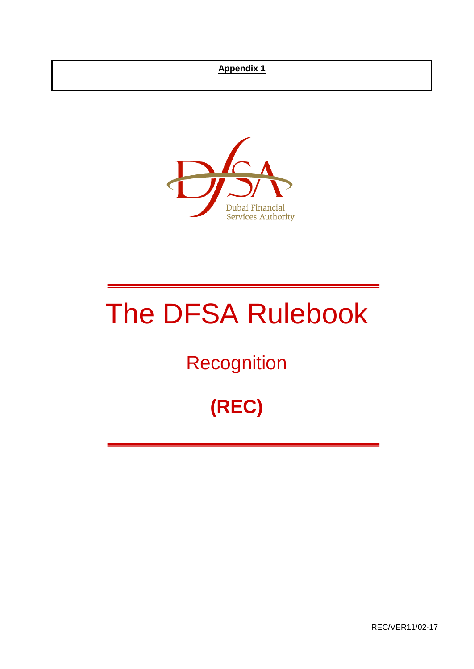## **Appendix 1**



# The DFSA Rulebook

## **Recognition**

## **(REC)**

REC/VER11/02-17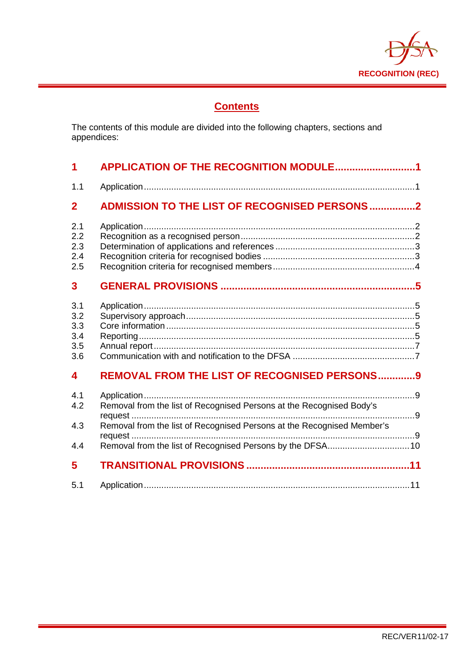

## **Contents**

The contents of this module are divided into the following chapters, sections and appendices:

| $\blacktriangleleft$                   | APPLICATION OF THE RECOGNITION MODULE1                                                                                                         |
|----------------------------------------|------------------------------------------------------------------------------------------------------------------------------------------------|
| 1.1                                    |                                                                                                                                                |
| $\overline{2}$                         | <b>ADMISSION TO THE LIST OF RECOGNISED PERSONS2</b>                                                                                            |
| 2.1<br>2.2<br>2.3<br>2.4<br>2.5        |                                                                                                                                                |
| 3                                      |                                                                                                                                                |
| 3.1<br>3.2<br>3.3<br>3.4<br>3.5<br>3.6 |                                                                                                                                                |
| $\overline{\mathbf{4}}$                | <b>REMOVAL FROM THE LIST OF RECOGNISED PERSONS9</b>                                                                                            |
| 4.1<br>4.2<br>4.3<br>4.4               | Removal from the list of Recognised Persons at the Recognised Body's<br>Removal from the list of Recognised Persons at the Recognised Member's |
| 5                                      |                                                                                                                                                |
| 5.1                                    |                                                                                                                                                |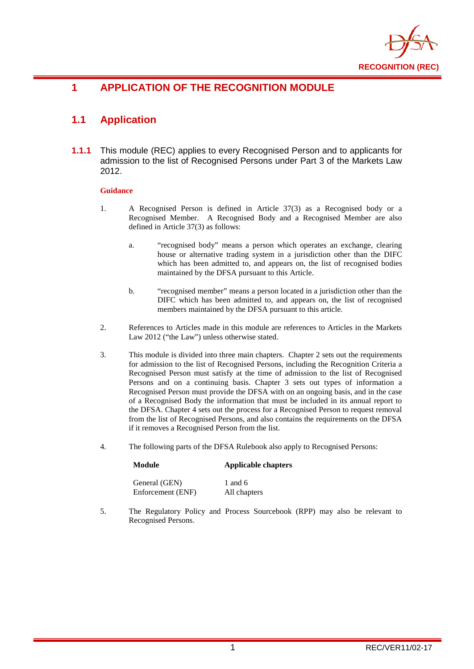

## <span id="page-2-0"></span>**1 APPLICATION OF THE RECOGNITION MODULE**

## <span id="page-2-1"></span>**1.1 Application**

**1.1.1** This module (REC) applies to every Recognised Person and to applicants for admission to the list of Recognised Persons under Part 3 of the Markets Law 2012.

#### **Guidance**

- 1. A Recognised Person is defined in Article 37(3) as a Recognised body or a Recognised Member. A Recognised Body and a Recognised Member are also defined in Article 37(3) as follows:
	- a. "recognised body" means a person which operates an exchange, clearing house or alternative trading system in a jurisdiction other than the DIFC which has been admitted to, and appears on, the list of recognised bodies maintained by the DFSA pursuant to this Article.
	- b. "recognised member" means a person located in a jurisdiction other than the DIFC which has been admitted to, and appears on, the list of recognised members maintained by the DFSA pursuant to this article.
- 2. References to Articles made in this module are references to Articles in the Markets Law 2012 ("the Law") unless otherwise stated.
- 3. This module is divided into three main chapters. Chapter 2 sets out the requirements for admission to the list of Recognised Persons, including the Recognition Criteria a Recognised Person must satisfy at the time of admission to the list of Recognised Persons and on a continuing basis. Chapter 3 sets out types of information a Recognised Person must provide the DFSA with on an ongoing basis, and in the case of a Recognised Body the information that must be included in its annual report to the DFSA. Chapter 4 sets out the process for a Recognised Person to request removal from the list of Recognised Persons, and also contains the requirements on the DFSA if it removes a Recognised Person from the list.
- 4. The following parts of the DFSA Rulebook also apply to Recognised Persons:

## **Module Applicable chapters**

| General (GEN)     | 1 and $6$    |
|-------------------|--------------|
| Enforcement (ENF) | All chapters |

5. The Regulatory Policy and Process Sourcebook (RPP) may also be relevant to Recognised Persons.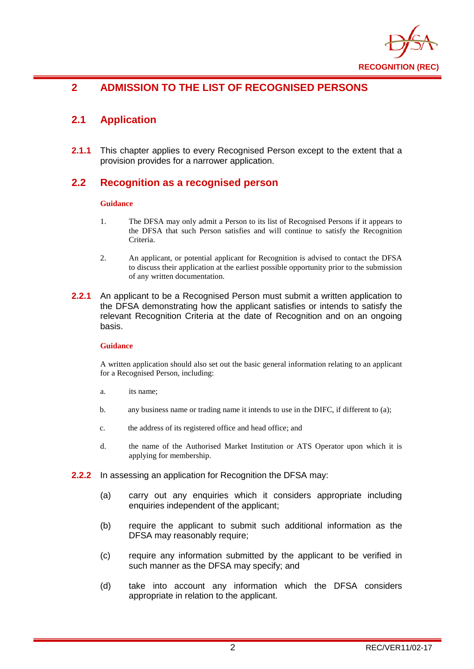

## <span id="page-3-0"></span>**2 ADMISSION TO THE LIST OF RECOGNISED PERSONS**

## <span id="page-3-1"></span>**2.1 Application**

**2.1.1** This chapter applies to every Recognised Person except to the extent that a provision provides for a narrower application.

#### <span id="page-3-2"></span>**2.2 Recognition as a recognised person**

#### **Guidance**

- 1. The DFSA may only admit a Person to its list of Recognised Persons if it appears to the DFSA that such Person satisfies and will continue to satisfy the Recognition Criteria.
- 2. An applicant, or potential applicant for Recognition is advised to contact the DFSA to discuss their application at the earliest possible opportunity prior to the submission of any written documentation.
- **2.2.1** An applicant to be a Recognised Person must submit a written application to the DFSA demonstrating how the applicant satisfies or intends to satisfy the relevant Recognition Criteria at the date of Recognition and on an ongoing basis.

#### **Guidance**

A written application should also set out the basic general information relating to an applicant for a Recognised Person, including:

- a. its name;
- b. any business name or trading name it intends to use in the DIFC, if different to (a);
- c. the address of its registered office and head office; and
- d. the name of the Authorised Market Institution or ATS Operator upon which it is applying for membership.
- **2.2.2** In assessing an application for Recognition the DFSA may:
	- (a) carry out any enquiries which it considers appropriate including enquiries independent of the applicant;
	- (b) require the applicant to submit such additional information as the DFSA may reasonably require;
	- (c) require any information submitted by the applicant to be verified in such manner as the DFSA may specify; and
	- (d) take into account any information which the DFSA considers appropriate in relation to the applicant.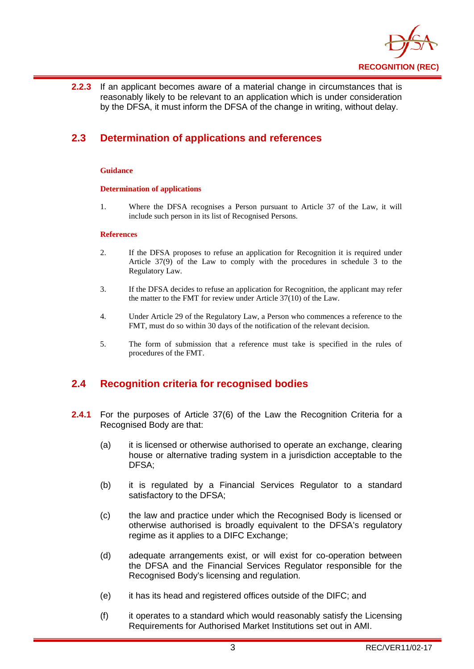

**2.2.3** If an applicant becomes aware of a material change in circumstances that is reasonably likely to be relevant to an application which is under consideration by the DFSA, it must inform the DFSA of the change in writing, without delay.

## <span id="page-4-0"></span>**2.3 Determination of applications and references**

#### **Guidance**

#### **Determination of applications**

1. Where the DFSA recognises a Person pursuant to Article 37 of the Law, it will include such person in its list of Recognised Persons.

#### **References**

- 2. If the DFSA proposes to refuse an application for Recognition it is required under Article 37(9) of the Law to comply with the procedures in schedule 3 to the Regulatory Law.
- 3. If the DFSA decides to refuse an application for Recognition, the applicant may refer the matter to the FMT for review under Article 37(10) of the Law.
- 4. Under Article 29 of the Regulatory Law, a Person who commences a reference to the FMT, must do so within 30 days of the notification of the relevant decision.
- 5. The form of submission that a reference must take is specified in the rules of procedures of the FMT.

#### <span id="page-4-1"></span>**2.4 Recognition criteria for recognised bodies**

- **2.4.1** For the purposes of Article 37(6) of the Law the Recognition Criteria for a Recognised Body are that:
	- (a) it is licensed or otherwise authorised to operate an exchange, clearing house or alternative trading system in a jurisdiction acceptable to the DFSA;
	- (b) it is regulated by a Financial Services Regulator to a standard satisfactory to the DFSA;
	- (c) the law and practice under which the Recognised Body is licensed or otherwise authorised is broadly equivalent to the DFSA's regulatory regime as it applies to a DIFC Exchange;
	- (d) adequate arrangements exist, or will exist for co-operation between the DFSA and the Financial Services Regulator responsible for the Recognised Body's licensing and regulation.
	- (e) it has its head and registered offices outside of the DIFC; and
	- (f) it operates to a standard which would reasonably satisfy the Licensing Requirements for Authorised Market Institutions set out in AMI.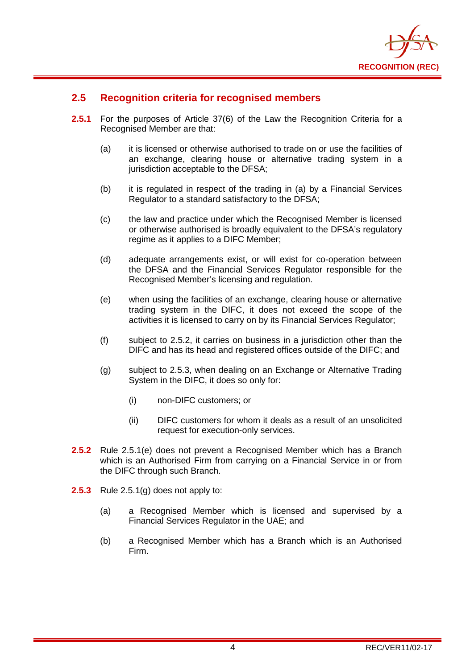

#### <span id="page-5-0"></span>**2.5 Recognition criteria for recognised members**

- **2.5.1** For the purposes of Article 37(6) of the Law the Recognition Criteria for a Recognised Member are that:
	- (a) it is licensed or otherwise authorised to trade on or use the facilities of an exchange, clearing house or alternative trading system in a jurisdiction acceptable to the DFSA;
	- (b) it is regulated in respect of the trading in (a) by a Financial Services Regulator to a standard satisfactory to the DFSA;
	- (c) the law and practice under which the Recognised Member is licensed or otherwise authorised is broadly equivalent to the DFSA's regulatory regime as it applies to a DIFC Member;
	- (d) adequate arrangements exist, or will exist for co-operation between the DFSA and the Financial Services Regulator responsible for the Recognised Member's licensing and regulation.
	- (e) when using the facilities of an exchange, clearing house or alternative trading system in the DIFC, it does not exceed the scope of the activities it is licensed to carry on by its Financial Services Regulator;
	- (f) subject to 2.5.2, it carries on business in a jurisdiction other than the DIFC and has its head and registered offices outside of the DIFC; and
	- (g) subject to 2.5.3, when dealing on an Exchange or Alternative Trading System in the DIFC, it does so only for:
		- (i) non-DIFC customers; or
		- (ii) DIFC customers for whom it deals as a result of an unsolicited request for execution-only services.
- **2.5.2** Rule 2.5.1(e) does not prevent a Recognised Member which has a Branch which is an Authorised Firm from carrying on a Financial Service in or from the DIFC through such Branch.
- **2.5.3** Rule 2.5.1(g) does not apply to:
	- (a) a Recognised Member which is licensed and supervised by a Financial Services Regulator in the UAE; and
	- (b) a Recognised Member which has a Branch which is an Authorised Firm.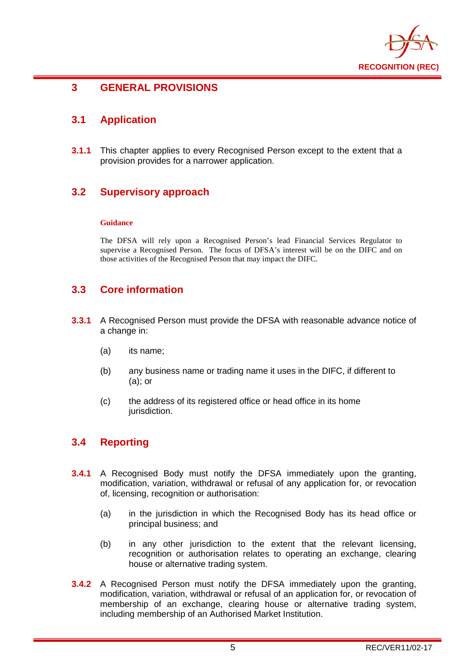

#### <span id="page-6-0"></span>**3 GENERAL PROVISIONS**

### <span id="page-6-1"></span>**3.1 Application**

**3.1.1** This chapter applies to every Recognised Person except to the extent that a provision provides for a narrower application.

#### <span id="page-6-2"></span>**3.2 Supervisory approach**

#### **Guidance**

The DFSA will rely upon a Recognised Person's lead Financial Services Regulator to supervise a Recognised Person. The focus of DFSA's interest will be on the DIFC and on those activities of the Recognised Person that may impact the DIFC.

#### <span id="page-6-3"></span>**3.3 Core information**

- **3.3.1** A Recognised Person must provide the DFSA with reasonable advance notice of a change in:
	- (a) its name;
	- (b) any business name or trading name it uses in the DIFC, if different to (a); or
	- (c) the address of its registered office or head office in its home jurisdiction.

#### <span id="page-6-4"></span>**3.4 Reporting**

- **3.4.1** A Recognised Body must notify the DFSA immediately upon the granting, modification, variation, withdrawal or refusal of any application for, or revocation of, licensing, recognition or authorisation:
	- (a) in the jurisdiction in which the Recognised Body has its head office or principal business; and
	- (b) in any other jurisdiction to the extent that the relevant licensing, recognition or authorisation relates to operating an exchange, clearing house or alternative trading system.
- **3.4.2** A Recognised Person must notify the DFSA immediately upon the granting, modification, variation, withdrawal or refusal of an application for, or revocation of membership of an exchange, clearing house or alternative trading system, including membership of an Authorised Market Institution.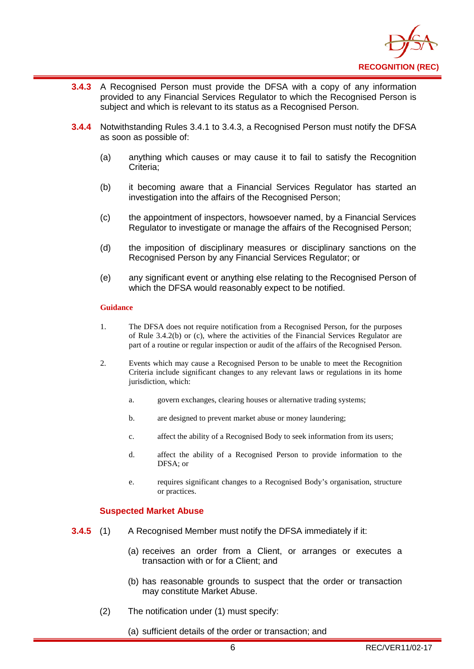

- **3.4.3** A Recognised Person must provide the DFSA with a copy of any information provided to any Financial Services Regulator to which the Recognised Person is subject and which is relevant to its status as a Recognised Person.
- **3.4.4** Notwithstanding Rules 3.4.1 to 3.4.3, a Recognised Person must notify the DFSA as soon as possible of:
	- (a) anything which causes or may cause it to fail to satisfy the Recognition Criteria;
	- (b) it becoming aware that a Financial Services Regulator has started an investigation into the affairs of the Recognised Person;
	- (c) the appointment of inspectors, howsoever named, by a Financial Services Regulator to investigate or manage the affairs of the Recognised Person;
	- (d) the imposition of disciplinary measures or disciplinary sanctions on the Recognised Person by any Financial Services Regulator; or
	- (e) any significant event or anything else relating to the Recognised Person of which the DFSA would reasonably expect to be notified.

#### **Guidance**

- 1. The DFSA does not require notification from a Recognised Person, for the purposes of Rule 3.4.2(b) or (c), where the activities of the Financial Services Regulator are part of a routine or regular inspection or audit of the affairs of the Recognised Person.
- 2. Events which may cause a Recognised Person to be unable to meet the Recognition Criteria include significant changes to any relevant laws or regulations in its home jurisdiction, which:
	- a. govern exchanges, clearing houses or alternative trading systems;
	- b. are designed to prevent market abuse or money laundering;
	- c. affect the ability of a Recognised Body to seek information from its users;
	- d. affect the ability of a Recognised Person to provide information to the DFSA; or
	- e. requires significant changes to a Recognised Body's organisation, structure or practices.

#### **Suspected Market Abuse**

- **3.4.5** (1) A Recognised Member must notify the DFSA immediately if it:
	- (a) receives an order from a Client, or arranges or executes a transaction with or for a Client; and
	- (b) has reasonable grounds to suspect that the order or transaction may constitute Market Abuse.
	- (2) The notification under (1) must specify:
		- (a) sufficient details of the order or transaction; and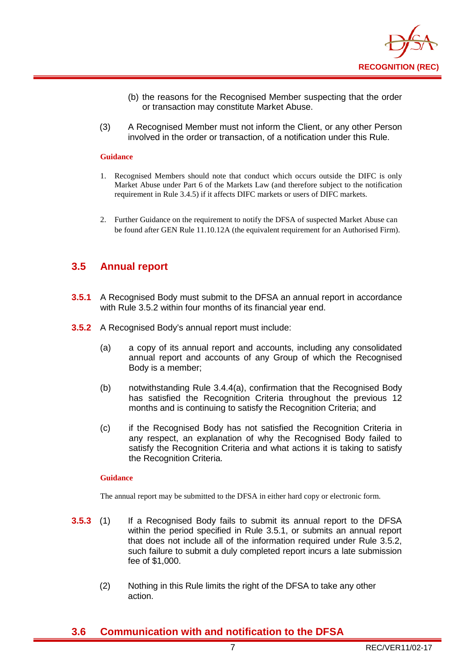

- (b) the reasons for the Recognised Member suspecting that the order or transaction may constitute Market Abuse.
- (3) A Recognised Member must not inform the Client, or any other Person involved in the order or transaction, of a notification under this Rule.

#### **Guidance**

- 1. Recognised Members should note that conduct which occurs outside the DIFC is only Market Abuse under Part 6 of the Markets Law (and therefore subject to the notification requirement in Rule 3.4.5) if it affects DIFC markets or users of DIFC markets.
- 2. Further Guidance on the requirement to notify the DFSA of suspected Market Abuse can be found after GEN Rule 11.10.12A (the equivalent requirement for an Authorised Firm).

#### <span id="page-8-0"></span>**3.5 Annual report**

- **3.5.1** A Recognised Body must submit to the DFSA an annual report in accordance with Rule 3.5.2 within four months of its financial year end.
- **3.5.2** A Recognised Body's annual report must include:
	- (a) a copy of its annual report and accounts, including any consolidated annual report and accounts of any Group of which the Recognised Body is a member;
	- (b) notwithstanding Rule 3.4.4(a), confirmation that the Recognised Body has satisfied the Recognition Criteria throughout the previous 12 months and is continuing to satisfy the Recognition Criteria; and
	- (c) if the Recognised Body has not satisfied the Recognition Criteria in any respect, an explanation of why the Recognised Body failed to satisfy the Recognition Criteria and what actions it is taking to satisfy the Recognition Criteria.

#### **Guidance**

The annual report may be submitted to the DFSA in either hard copy or electronic form.

- **3.5.3** (1) If a Recognised Body fails to submit its annual report to the DFSA within the period specified in Rule 3.5.1, or submits an annual report that does not include all of the information required under Rule 3.5.2, such failure to submit a duly completed report incurs a late submission fee of \$1,000.
	- (2) Nothing in this Rule limits the right of the DFSA to take any other action.

#### <span id="page-8-1"></span>**3.6 Communication with and notification to the DFSA**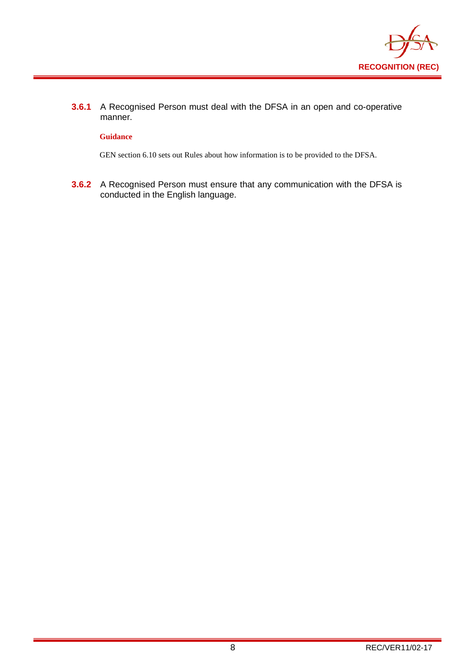

**3.6.1** A Recognised Person must deal with the DFSA in an open and co-operative manner.

#### **Guidance**

GEN section 6.10 sets out Rules about how information is to be provided to the DFSA.

**3.6.2** A Recognised Person must ensure that any communication with the DFSA is conducted in the English language.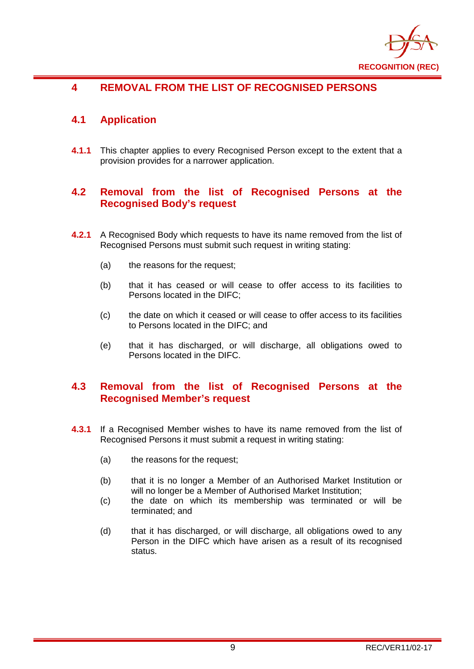

## <span id="page-10-0"></span>**4 REMOVAL FROM THE LIST OF RECOGNISED PERSONS**

### <span id="page-10-1"></span>**4.1 Application**

**4.1.1** This chapter applies to every Recognised Person except to the extent that a provision provides for a narrower application.

#### <span id="page-10-2"></span>**4.2 Removal from the list of Recognised Persons at the Recognised Body's request**

- **4.2.1** A Recognised Body which requests to have its name removed from the list of Recognised Persons must submit such request in writing stating:
	- (a) the reasons for the request;
	- (b) that it has ceased or will cease to offer access to its facilities to Persons located in the DIFC;
	- (c) the date on which it ceased or will cease to offer access to its facilities to Persons located in the DIFC; and
	- (e) that it has discharged, or will discharge, all obligations owed to Persons located in the DIFC.

#### <span id="page-10-3"></span>**4.3 Removal from the list of Recognised Persons at the Recognised Member's request**

- **4.3.1** If a Recognised Member wishes to have its name removed from the list of Recognised Persons it must submit a request in writing stating:
	- (a) the reasons for the request;
	- (b) that it is no longer a Member of an Authorised Market Institution or will no longer be a Member of Authorised Market Institution;
	- (c) the date on which its membership was terminated or will be terminated; and
	- (d) that it has discharged, or will discharge, all obligations owed to any Person in the DIFC which have arisen as a result of its recognised status.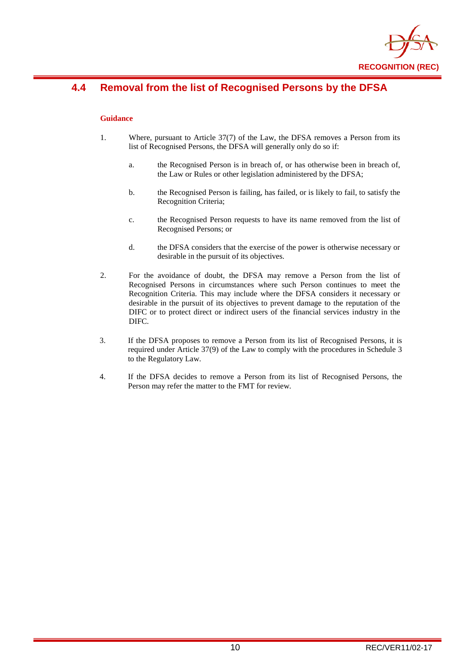

## <span id="page-11-0"></span>**4.4 Removal from the list of Recognised Persons by the DFSA**

#### **Guidance**

- 1. Where, pursuant to Article 37(7) of the Law, the DFSA removes a Person from its list of Recognised Persons, the DFSA will generally only do so if:
	- a. the Recognised Person is in breach of, or has otherwise been in breach of, the Law or Rules or other legislation administered by the DFSA;
	- b. the Recognised Person is failing, has failed, or is likely to fail, to satisfy the Recognition Criteria;
	- c. the Recognised Person requests to have its name removed from the list of Recognised Persons; or
	- d. the DFSA considers that the exercise of the power is otherwise necessary or desirable in the pursuit of its objectives.
- 2. For the avoidance of doubt, the DFSA may remove a Person from the list of Recognised Persons in circumstances where such Person continues to meet the Recognition Criteria. This may include where the DFSA considers it necessary or desirable in the pursuit of its objectives to prevent damage to the reputation of the DIFC or to protect direct or indirect users of the financial services industry in the DIFC.
- 3. If the DFSA proposes to remove a Person from its list of Recognised Persons, it is required under Article 37(9) of the Law to comply with the procedures in Schedule 3 to the Regulatory Law.
- 4. If the DFSA decides to remove a Person from its list of Recognised Persons, the Person may refer the matter to the FMT for review.